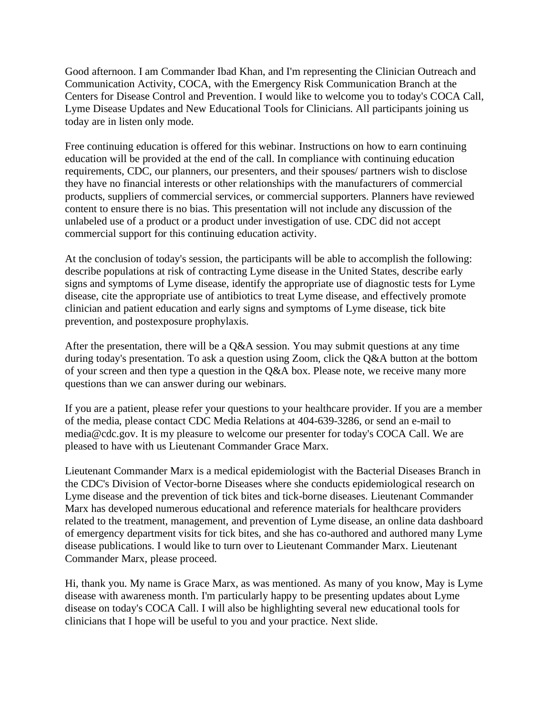Good afternoon. I am Commander Ibad Khan, and I'm representing the Clinician Outreach and Communication Activity, COCA, with the Emergency Risk Communication Branch at the Centers for Disease Control and Prevention. I would like to welcome you to today's COCA Call, Lyme Disease Updates and New Educational Tools for Clinicians. All participants joining us today are in listen only mode.

Free continuing education is offered for this webinar. Instructions on how to earn continuing education will be provided at the end of the call. In compliance with continuing education requirements, CDC, our planners, our presenters, and their spouses/ partners wish to disclose they have no financial interests or other relationships with the manufacturers of commercial products, suppliers of commercial services, or commercial supporters. Planners have reviewed content to ensure there is no bias. This presentation will not include any discussion of the unlabeled use of a product or a product under investigation of use. CDC did not accept commercial support for this continuing education activity.

At the conclusion of today's session, the participants will be able to accomplish the following: describe populations at risk of contracting Lyme disease in the United States, describe early signs and symptoms of Lyme disease, identify the appropriate use of diagnostic tests for Lyme disease, cite the appropriate use of antibiotics to treat Lyme disease, and effectively promote clinician and patient education and early signs and symptoms of Lyme disease, tick bite prevention, and postexposure prophylaxis.

After the presentation, there will be a  $Q&A$  session. You may submit questions at any time during today's presentation. To ask a question using Zoom, click the Q&A button at the bottom of your screen and then type a question in the Q&A box. Please note, we receive many more questions than we can answer during our webinars.

If you are a patient, please refer your questions to your healthcare provider. If you are a member of the media, please contact CDC Media Relations at 404-639-3286, or send an e-mail to media@cdc.gov. It is my pleasure to welcome our presenter for today's COCA Call. We are pleased to have with us Lieutenant Commander Grace Marx.

Lieutenant Commander Marx is a medical epidemiologist with the Bacterial Diseases Branch in the CDC's Division of Vector-borne Diseases where she conducts epidemiological research on Lyme disease and the prevention of tick bites and tick-borne diseases. Lieutenant Commander Marx has developed numerous educational and reference materials for healthcare providers related to the treatment, management, and prevention of Lyme disease, an online data dashboard of emergency department visits for tick bites, and she has co-authored and authored many Lyme disease publications. I would like to turn over to Lieutenant Commander Marx. Lieutenant Commander Marx, please proceed.

Hi, thank you. My name is Grace Marx, as was mentioned. As many of you know, May is Lyme disease with awareness month. I'm particularly happy to be presenting updates about Lyme disease on today's COCA Call. I will also be highlighting several new educational tools for clinicians that I hope will be useful to you and your practice. Next slide.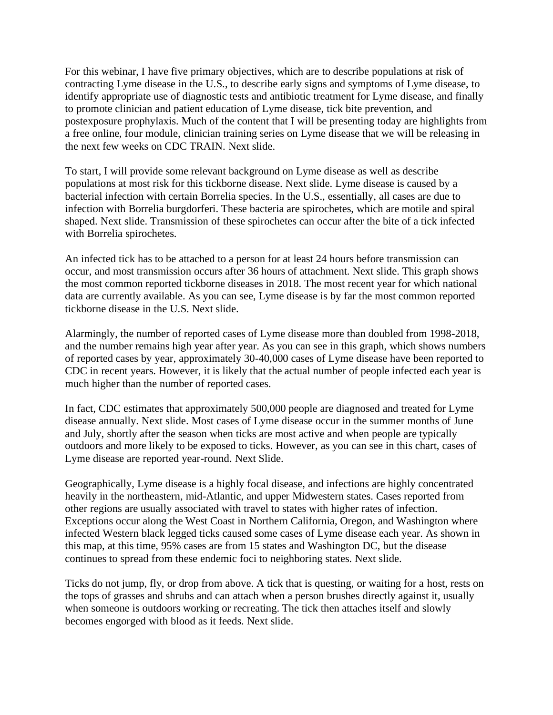For this webinar, I have five primary objectives, which are to describe populations at risk of contracting Lyme disease in the U.S., to describe early signs and symptoms of Lyme disease, to identify appropriate use of diagnostic tests and antibiotic treatment for Lyme disease, and finally to promote clinician and patient education of Lyme disease, tick bite prevention, and postexposure prophylaxis. Much of the content that I will be presenting today are highlights from a free online, four module, clinician training series on Lyme disease that we will be releasing in the next few weeks on CDC TRAIN. Next slide.

To start, I will provide some relevant background on Lyme disease as well as describe populations at most risk for this tickborne disease. Next slide. Lyme disease is caused by a bacterial infection with certain Borrelia species. In the U.S., essentially, all cases are due to infection with Borrelia burgdorferi. These bacteria are spirochetes, which are motile and spiral shaped. Next slide. Transmission of these spirochetes can occur after the bite of a tick infected with Borrelia spirochetes.

An infected tick has to be attached to a person for at least 24 hours before transmission can occur, and most transmission occurs after 36 hours of attachment. Next slide. This graph shows the most common reported tickborne diseases in 2018. The most recent year for which national data are currently available. As you can see, Lyme disease is by far the most common reported tickborne disease in the U.S. Next slide.

Alarmingly, the number of reported cases of Lyme disease more than doubled from 1998-2018, and the number remains high year after year. As you can see in this graph, which shows numbers of reported cases by year, approximately 30-40,000 cases of Lyme disease have been reported to CDC in recent years. However, it is likely that the actual number of people infected each year is much higher than the number of reported cases.

In fact, CDC estimates that approximately 500,000 people are diagnosed and treated for Lyme disease annually. Next slide. Most cases of Lyme disease occur in the summer months of June and July, shortly after the season when ticks are most active and when people are typically outdoors and more likely to be exposed to ticks. However, as you can see in this chart, cases of Lyme disease are reported year-round. Next Slide.

Geographically, Lyme disease is a highly focal disease, and infections are highly concentrated heavily in the northeastern, mid-Atlantic, and upper Midwestern states. Cases reported from other regions are usually associated with travel to states with higher rates of infection. Exceptions occur along the West Coast in Northern California, Oregon, and Washington where infected Western black legged ticks caused some cases of Lyme disease each year. As shown in this map, at this time, 95% cases are from 15 states and Washington DC, but the disease continues to spread from these endemic foci to neighboring states. Next slide.

Ticks do not jump, fly, or drop from above. A tick that is questing, or waiting for a host, rests on the tops of grasses and shrubs and can attach when a person brushes directly against it, usually when someone is outdoors working or recreating. The tick then attaches itself and slowly becomes engorged with blood as it feeds. Next slide.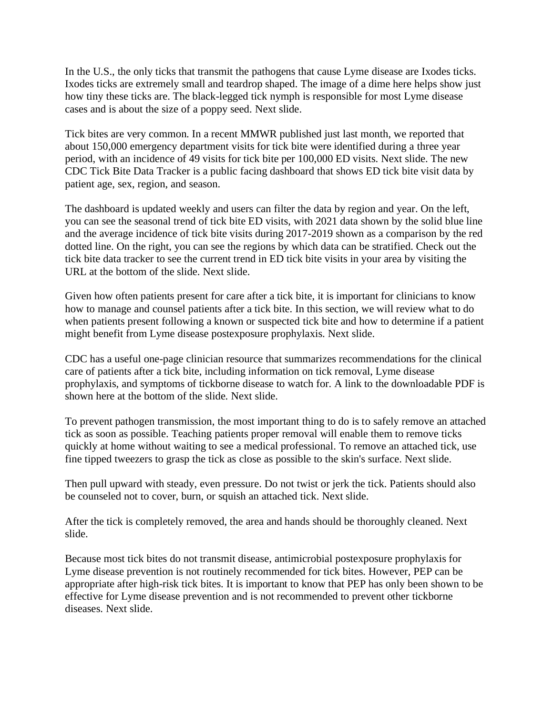In the U.S., the only ticks that transmit the pathogens that cause Lyme disease are Ixodes ticks. Ixodes ticks are extremely small and teardrop shaped. The image of a dime here helps show just how tiny these ticks are. The black-legged tick nymph is responsible for most Lyme disease cases and is about the size of a poppy seed. Next slide.

Tick bites are very common. In a recent MMWR published just last month, we reported that about 150,000 emergency department visits for tick bite were identified during a three year period, with an incidence of 49 visits for tick bite per 100,000 ED visits. Next slide. The new CDC Tick Bite Data Tracker is a public facing dashboard that shows ED tick bite visit data by patient age, sex, region, and season.

The dashboard is updated weekly and users can filter the data by region and year. On the left, you can see the seasonal trend of tick bite ED visits, with 2021 data shown by the solid blue line and the average incidence of tick bite visits during 2017-2019 shown as a comparison by the red dotted line. On the right, you can see the regions by which data can be stratified. Check out the tick bite data tracker to see the current trend in ED tick bite visits in your area by visiting the URL at the bottom of the slide. Next slide.

Given how often patients present for care after a tick bite, it is important for clinicians to know how to manage and counsel patients after a tick bite. In this section, we will review what to do when patients present following a known or suspected tick bite and how to determine if a patient might benefit from Lyme disease postexposure prophylaxis. Next slide.

CDC has a useful one-page clinician resource that summarizes recommendations for the clinical care of patients after a tick bite, including information on tick removal, Lyme disease prophylaxis, and symptoms of tickborne disease to watch for. A link to the downloadable PDF is shown here at the bottom of the slide. Next slide.

To prevent pathogen transmission, the most important thing to do is to safely remove an attached tick as soon as possible. Teaching patients proper removal will enable them to remove ticks quickly at home without waiting to see a medical professional. To remove an attached tick, use fine tipped tweezers to grasp the tick as close as possible to the skin's surface. Next slide.

Then pull upward with steady, even pressure. Do not twist or jerk the tick. Patients should also be counseled not to cover, burn, or squish an attached tick. Next slide.

After the tick is completely removed, the area and hands should be thoroughly cleaned. Next slide.

Because most tick bites do not transmit disease, antimicrobial postexposure prophylaxis for Lyme disease prevention is not routinely recommended for tick bites. However, PEP can be appropriate after high-risk tick bites. It is important to know that PEP has only been shown to be effective for Lyme disease prevention and is not recommended to prevent other tickborne diseases. Next slide.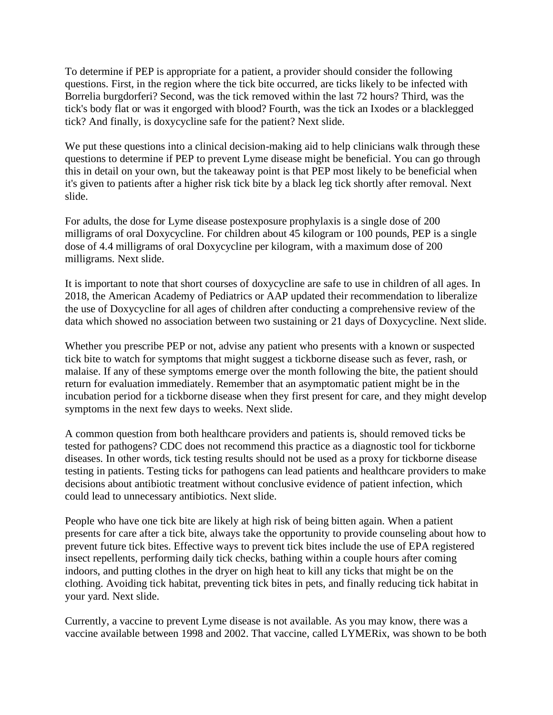To determine if PEP is appropriate for a patient, a provider should consider the following questions. First, in the region where the tick bite occurred, are ticks likely to be infected with Borrelia burgdorferi? Second, was the tick removed within the last 72 hours? Third, was the tick's body flat or was it engorged with blood? Fourth, was the tick an Ixodes or a blacklegged tick? And finally, is doxycycline safe for the patient? Next slide.

We put these questions into a clinical decision-making aid to help clinicians walk through these questions to determine if PEP to prevent Lyme disease might be beneficial. You can go through this in detail on your own, but the takeaway point is that PEP most likely to be beneficial when it's given to patients after a higher risk tick bite by a black leg tick shortly after removal. Next slide.

For adults, the dose for Lyme disease postexposure prophylaxis is a single dose of 200 milligrams of oral Doxycycline. For children about 45 kilogram or 100 pounds, PEP is a single dose of 4.4 milligrams of oral Doxycycline per kilogram, with a maximum dose of 200 milligrams. Next slide.

It is important to note that short courses of doxycycline are safe to use in children of all ages. In 2018, the American Academy of Pediatrics or AAP updated their recommendation to liberalize the use of Doxycycline for all ages of children after conducting a comprehensive review of the data which showed no association between two sustaining or 21 days of Doxycycline. Next slide.

Whether you prescribe PEP or not, advise any patient who presents with a known or suspected tick bite to watch for symptoms that might suggest a tickborne disease such as fever, rash, or malaise. If any of these symptoms emerge over the month following the bite, the patient should return for evaluation immediately. Remember that an asymptomatic patient might be in the incubation period for a tickborne disease when they first present for care, and they might develop symptoms in the next few days to weeks. Next slide.

A common question from both healthcare providers and patients is, should removed ticks be tested for pathogens? CDC does not recommend this practice as a diagnostic tool for tickborne diseases. In other words, tick testing results should not be used as a proxy for tickborne disease testing in patients. Testing ticks for pathogens can lead patients and healthcare providers to make decisions about antibiotic treatment without conclusive evidence of patient infection, which could lead to unnecessary antibiotics. Next slide.

People who have one tick bite are likely at high risk of being bitten again. When a patient presents for care after a tick bite, always take the opportunity to provide counseling about how to prevent future tick bites. Effective ways to prevent tick bites include the use of EPA registered insect repellents, performing daily tick checks, bathing within a couple hours after coming indoors, and putting clothes in the dryer on high heat to kill any ticks that might be on the clothing. Avoiding tick habitat, preventing tick bites in pets, and finally reducing tick habitat in your yard. Next slide.

Currently, a vaccine to prevent Lyme disease is not available. As you may know, there was a vaccine available between 1998 and 2002. That vaccine, called LYMERix, was shown to be both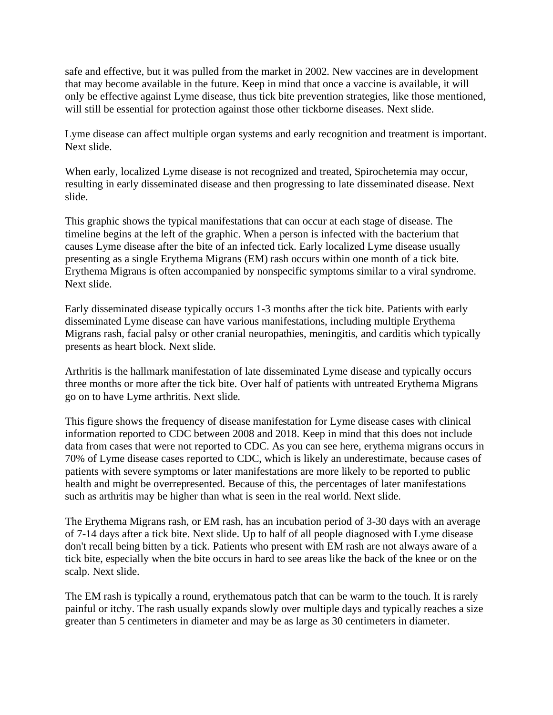safe and effective, but it was pulled from the market in 2002. New vaccines are in development that may become available in the future. Keep in mind that once a vaccine is available, it will only be effective against Lyme disease, thus tick bite prevention strategies, like those mentioned, will still be essential for protection against those other tickborne diseases. Next slide.

Lyme disease can affect multiple organ systems and early recognition and treatment is important. Next slide.

When early, localized Lyme disease is not recognized and treated, Spirochetemia may occur, resulting in early disseminated disease and then progressing to late disseminated disease. Next slide.

This graphic shows the typical manifestations that can occur at each stage of disease. The timeline begins at the left of the graphic. When a person is infected with the bacterium that causes Lyme disease after the bite of an infected tick. Early localized Lyme disease usually presenting as a single Erythema Migrans (EM) rash occurs within one month of a tick bite. Erythema Migrans is often accompanied by nonspecific symptoms similar to a viral syndrome. Next slide.

Early disseminated disease typically occurs 1-3 months after the tick bite. Patients with early disseminated Lyme disease can have various manifestations, including multiple Erythema Migrans rash, facial palsy or other cranial neuropathies, meningitis, and carditis which typically presents as heart block. Next slide.

Arthritis is the hallmark manifestation of late disseminated Lyme disease and typically occurs three months or more after the tick bite. Over half of patients with untreated Erythema Migrans go on to have Lyme arthritis. Next slide.

This figure shows the frequency of disease manifestation for Lyme disease cases with clinical information reported to CDC between 2008 and 2018. Keep in mind that this does not include data from cases that were not reported to CDC. As you can see here, erythema migrans occurs in 70% of Lyme disease cases reported to CDC, which is likely an underestimate, because cases of patients with severe symptoms or later manifestations are more likely to be reported to public health and might be overrepresented. Because of this, the percentages of later manifestations such as arthritis may be higher than what is seen in the real world. Next slide.

The Erythema Migrans rash, or EM rash, has an incubation period of 3-30 days with an average of 7-14 days after a tick bite. Next slide. Up to half of all people diagnosed with Lyme disease don't recall being bitten by a tick. Patients who present with EM rash are not always aware of a tick bite, especially when the bite occurs in hard to see areas like the back of the knee or on the scalp. Next slide.

The EM rash is typically a round, erythematous patch that can be warm to the touch. It is rarely painful or itchy. The rash usually expands slowly over multiple days and typically reaches a size greater than 5 centimeters in diameter and may be as large as 30 centimeters in diameter.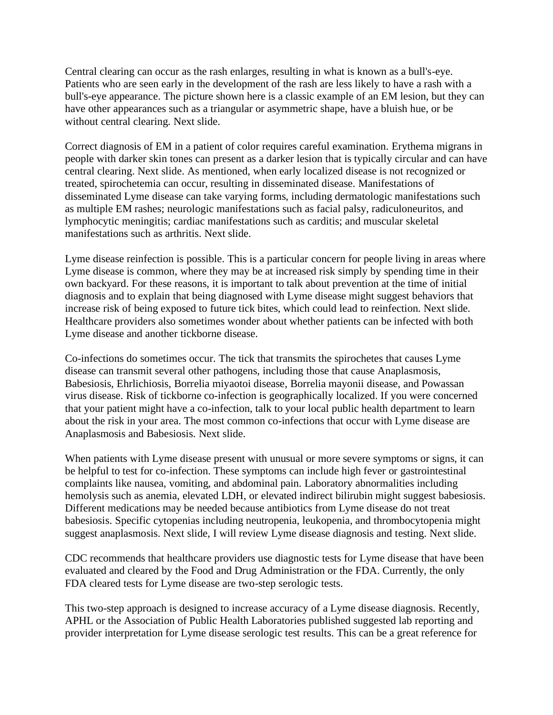Central clearing can occur as the rash enlarges, resulting in what is known as a bull's-eye. Patients who are seen early in the development of the rash are less likely to have a rash with a bull's-eye appearance. The picture shown here is a classic example of an EM lesion, but they can have other appearances such as a triangular or asymmetric shape, have a bluish hue, or be without central clearing. Next slide.

Correct diagnosis of EM in a patient of color requires careful examination. Erythema migrans in people with darker skin tones can present as a darker lesion that is typically circular and can have central clearing. Next slide. As mentioned, when early localized disease is not recognized or treated, spirochetemia can occur, resulting in disseminated disease. Manifestations of disseminated Lyme disease can take varying forms, including dermatologic manifestations such as multiple EM rashes; neurologic manifestations such as facial palsy, radiculoneuritos, and lymphocytic meningitis; cardiac manifestations such as carditis; and muscular skeletal manifestations such as arthritis. Next slide.

Lyme disease reinfection is possible. This is a particular concern for people living in areas where Lyme disease is common, where they may be at increased risk simply by spending time in their own backyard. For these reasons, it is important to talk about prevention at the time of initial diagnosis and to explain that being diagnosed with Lyme disease might suggest behaviors that increase risk of being exposed to future tick bites, which could lead to reinfection. Next slide. Healthcare providers also sometimes wonder about whether patients can be infected with both Lyme disease and another tickborne disease.

Co-infections do sometimes occur. The tick that transmits the spirochetes that causes Lyme disease can transmit several other pathogens, including those that cause Anaplasmosis, Babesiosis, Ehrlichiosis, Borrelia miyaotoi disease, Borrelia mayonii disease, and Powassan virus disease. Risk of tickborne co-infection is geographically localized. If you were concerned that your patient might have a co-infection, talk to your local public health department to learn about the risk in your area. The most common co-infections that occur with Lyme disease are Anaplasmosis and Babesiosis. Next slide.

When patients with Lyme disease present with unusual or more severe symptoms or signs, it can be helpful to test for co-infection. These symptoms can include high fever or gastrointestinal complaints like nausea, vomiting, and abdominal pain. Laboratory abnormalities including hemolysis such as anemia, elevated LDH, or elevated indirect bilirubin might suggest babesiosis. Different medications may be needed because antibiotics from Lyme disease do not treat babesiosis. Specific cytopenias including neutropenia, leukopenia, and thrombocytopenia might suggest anaplasmosis. Next slide, I will review Lyme disease diagnosis and testing. Next slide.

CDC recommends that healthcare providers use diagnostic tests for Lyme disease that have been evaluated and cleared by the Food and Drug Administration or the FDA. Currently, the only FDA cleared tests for Lyme disease are two-step serologic tests.

This two-step approach is designed to increase accuracy of a Lyme disease diagnosis. Recently, APHL or the Association of Public Health Laboratories published suggested lab reporting and provider interpretation for Lyme disease serologic test results. This can be a great reference for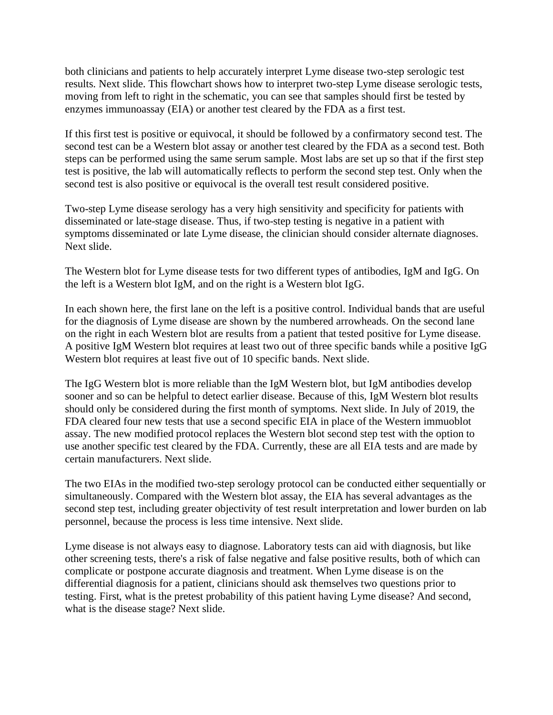both clinicians and patients to help accurately interpret Lyme disease two-step serologic test results. Next slide. This flowchart shows how to interpret two-step Lyme disease serologic tests, moving from left to right in the schematic, you can see that samples should first be tested by enzymes immunoassay (EIA) or another test cleared by the FDA as a first test.

If this first test is positive or equivocal, it should be followed by a confirmatory second test. The second test can be a Western blot assay or another test cleared by the FDA as a second test. Both steps can be performed using the same serum sample. Most labs are set up so that if the first step test is positive, the lab will automatically reflects to perform the second step test. Only when the second test is also positive or equivocal is the overall test result considered positive.

Two-step Lyme disease serology has a very high sensitivity and specificity for patients with disseminated or late-stage disease. Thus, if two-step testing is negative in a patient with symptoms disseminated or late Lyme disease, the clinician should consider alternate diagnoses. Next slide.

The Western blot for Lyme disease tests for two different types of antibodies, IgM and IgG. On the left is a Western blot IgM, and on the right is a Western blot IgG.

In each shown here, the first lane on the left is a positive control. Individual bands that are useful for the diagnosis of Lyme disease are shown by the numbered arrowheads. On the second lane on the right in each Western blot are results from a patient that tested positive for Lyme disease. A positive IgM Western blot requires at least two out of three specific bands while a positive IgG Western blot requires at least five out of 10 specific bands. Next slide.

The IgG Western blot is more reliable than the IgM Western blot, but IgM antibodies develop sooner and so can be helpful to detect earlier disease. Because of this, IgM Western blot results should only be considered during the first month of symptoms. Next slide. In July of 2019, the FDA cleared four new tests that use a second specific EIA in place of the Western immuoblot assay. The new modified protocol replaces the Western blot second step test with the option to use another specific test cleared by the FDA. Currently, these are all EIA tests and are made by certain manufacturers. Next slide.

The two EIAs in the modified two-step serology protocol can be conducted either sequentially or simultaneously. Compared with the Western blot assay, the EIA has several advantages as the second step test, including greater objectivity of test result interpretation and lower burden on lab personnel, because the process is less time intensive. Next slide.

Lyme disease is not always easy to diagnose. Laboratory tests can aid with diagnosis, but like other screening tests, there's a risk of false negative and false positive results, both of which can complicate or postpone accurate diagnosis and treatment. When Lyme disease is on the differential diagnosis for a patient, clinicians should ask themselves two questions prior to testing. First, what is the pretest probability of this patient having Lyme disease? And second, what is the disease stage? Next slide.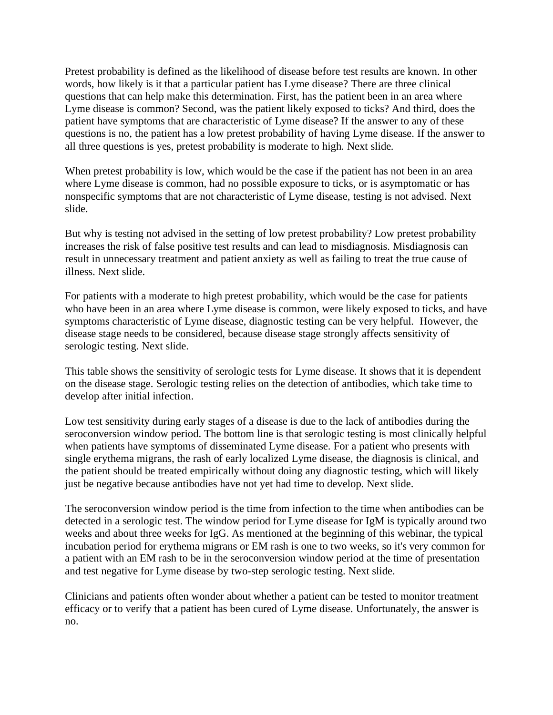Pretest probability is defined as the likelihood of disease before test results are known. In other words, how likely is it that a particular patient has Lyme disease? There are three clinical questions that can help make this determination. First, has the patient been in an area where Lyme disease is common? Second, was the patient likely exposed to ticks? And third, does the patient have symptoms that are characteristic of Lyme disease? If the answer to any of these questions is no, the patient has a low pretest probability of having Lyme disease. If the answer to all three questions is yes, pretest probability is moderate to high. Next slide.

When pretest probability is low, which would be the case if the patient has not been in an area where Lyme disease is common, had no possible exposure to ticks, or is asymptomatic or has nonspecific symptoms that are not characteristic of Lyme disease, testing is not advised. Next slide.

But why is testing not advised in the setting of low pretest probability? Low pretest probability increases the risk of false positive test results and can lead to misdiagnosis. Misdiagnosis can result in unnecessary treatment and patient anxiety as well as failing to treat the true cause of illness. Next slide.

For patients with a moderate to high pretest probability, which would be the case for patients who have been in an area where Lyme disease is common, were likely exposed to ticks, and have symptoms characteristic of Lyme disease, diagnostic testing can be very helpful. However, the disease stage needs to be considered, because disease stage strongly affects sensitivity of serologic testing. Next slide.

This table shows the sensitivity of serologic tests for Lyme disease. It shows that it is dependent on the disease stage. Serologic testing relies on the detection of antibodies, which take time to develop after initial infection.

Low test sensitivity during early stages of a disease is due to the lack of antibodies during the seroconversion window period. The bottom line is that serologic testing is most clinically helpful when patients have symptoms of disseminated Lyme disease. For a patient who presents with single erythema migrans, the rash of early localized Lyme disease, the diagnosis is clinical, and the patient should be treated empirically without doing any diagnostic testing, which will likely just be negative because antibodies have not yet had time to develop. Next slide.

The seroconversion window period is the time from infection to the time when antibodies can be detected in a serologic test. The window period for Lyme disease for IgM is typically around two weeks and about three weeks for IgG. As mentioned at the beginning of this webinar, the typical incubation period for erythema migrans or EM rash is one to two weeks, so it's very common for a patient with an EM rash to be in the seroconversion window period at the time of presentation and test negative for Lyme disease by two-step serologic testing. Next slide.

Clinicians and patients often wonder about whether a patient can be tested to monitor treatment efficacy or to verify that a patient has been cured of Lyme disease. Unfortunately, the answer is no.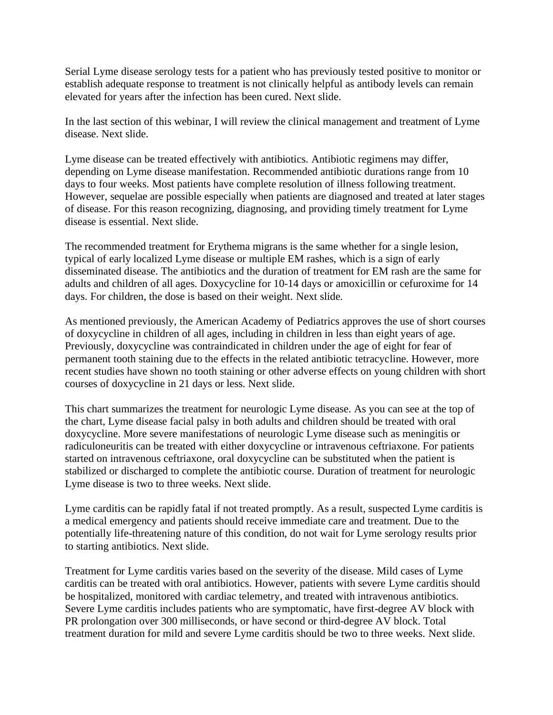Serial Lyme disease serology tests for a patient who has previously tested positive to monitor or establish adequate response to treatment is not clinically helpful as antibody levels can remain elevated for years after the infection has been cured. Next slide.

In the last section of this webinar, I will review the clinical management and treatment of Lyme disease. Next slide.

Lyme disease can be treated effectively with antibiotics. Antibiotic regimens may differ, depending on Lyme disease manifestation. Recommended antibiotic durations range from 10 days to four weeks. Most patients have complete resolution of illness following treatment. However, sequelae are possible especially when patients are diagnosed and treated at later stages of disease. For this reason recognizing, diagnosing, and providing timely treatment for Lyme disease is essential. Next slide.

The recommended treatment for Erythema migrans is the same whether for a single lesion, typical of early localized Lyme disease or multiple EM rashes, which is a sign of early disseminated disease. The antibiotics and the duration of treatment for EM rash are the same for adults and children of all ages. Doxycycline for 10-14 days or amoxicillin or cefuroxime for 14 days. For children, the dose is based on their weight. Next slide.

As mentioned previously, the American Academy of Pediatrics approves the use of short courses of doxycycline in children of all ages, including in children in less than eight years of age. Previously, doxycycline was contraindicated in children under the age of eight for fear of permanent tooth staining due to the effects in the related antibiotic tetracycline. However, more recent studies have shown no tooth staining or other adverse effects on young children with short courses of doxycycline in 21 days or less. Next slide.

This chart summarizes the treatment for neurologic Lyme disease. As you can see at the top of the chart, Lyme disease facial palsy in both adults and children should be treated with oral doxycycline. More severe manifestations of neurologic Lyme disease such as meningitis or radiculoneuritis can be treated with either doxycycline or intravenous ceftriaxone. For patients started on intravenous ceftriaxone, oral doxycycline can be substituted when the patient is stabilized or discharged to complete the antibiotic course. Duration of treatment for neurologic Lyme disease is two to three weeks. Next slide.

Lyme carditis can be rapidly fatal if not treated promptly. As a result, suspected Lyme carditis is a medical emergency and patients should receive immediate care and treatment. Due to the potentially life-threatening nature of this condition, do not wait for Lyme serology results prior to starting antibiotics. Next slide.

Treatment for Lyme carditis varies based on the severity of the disease. Mild cases of Lyme carditis can be treated with oral antibiotics. However, patients with severe Lyme carditis should be hospitalized, monitored with cardiac telemetry, and treated with intravenous antibiotics. Severe Lyme carditis includes patients who are symptomatic, have first-degree AV block with PR prolongation over 300 milliseconds, or have second or third-degree AV block. Total treatment duration for mild and severe Lyme carditis should be two to three weeks. Next slide.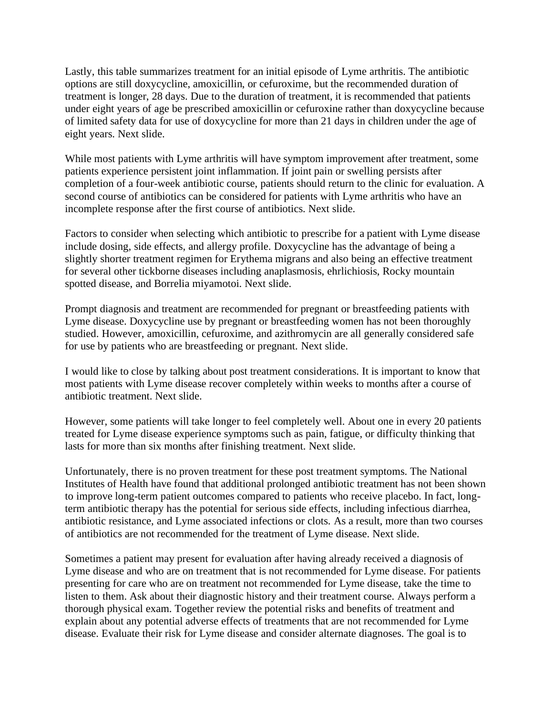Lastly, this table summarizes treatment for an initial episode of Lyme arthritis. The antibiotic options are still doxycycline, amoxicillin, or cefuroxime, but the recommended duration of treatment is longer, 28 days. Due to the duration of treatment, it is recommended that patients under eight years of age be prescribed amoxicillin or cefuroxine rather than doxycycline because of limited safety data for use of doxycycline for more than 21 days in children under the age of eight years. Next slide.

While most patients with Lyme arthritis will have symptom improvement after treatment, some patients experience persistent joint inflammation. If joint pain or swelling persists after completion of a four-week antibiotic course, patients should return to the clinic for evaluation. A second course of antibiotics can be considered for patients with Lyme arthritis who have an incomplete response after the first course of antibiotics. Next slide.

Factors to consider when selecting which antibiotic to prescribe for a patient with Lyme disease include dosing, side effects, and allergy profile. Doxycycline has the advantage of being a slightly shorter treatment regimen for Erythema migrans and also being an effective treatment for several other tickborne diseases including anaplasmosis, ehrlichiosis, Rocky mountain spotted disease, and Borrelia miyamotoi. Next slide.

Prompt diagnosis and treatment are recommended for pregnant or breastfeeding patients with Lyme disease. Doxycycline use by pregnant or breastfeeding women has not been thoroughly studied. However, amoxicillin, cefuroxime, and azithromycin are all generally considered safe for use by patients who are breastfeeding or pregnant. Next slide.

I would like to close by talking about post treatment considerations. It is important to know that most patients with Lyme disease recover completely within weeks to months after a course of antibiotic treatment. Next slide.

However, some patients will take longer to feel completely well. About one in every 20 patients treated for Lyme disease experience symptoms such as pain, fatigue, or difficulty thinking that lasts for more than six months after finishing treatment. Next slide.

Unfortunately, there is no proven treatment for these post treatment symptoms. The National Institutes of Health have found that additional prolonged antibiotic treatment has not been shown to improve long-term patient outcomes compared to patients who receive placebo. In fact, longterm antibiotic therapy has the potential for serious side effects, including infectious diarrhea, antibiotic resistance, and Lyme associated infections or clots. As a result, more than two courses of antibiotics are not recommended for the treatment of Lyme disease. Next slide.

Sometimes a patient may present for evaluation after having already received a diagnosis of Lyme disease and who are on treatment that is not recommended for Lyme disease. For patients presenting for care who are on treatment not recommended for Lyme disease, take the time to listen to them. Ask about their diagnostic history and their treatment course. Always perform a thorough physical exam. Together review the potential risks and benefits of treatment and explain about any potential adverse effects of treatments that are not recommended for Lyme disease. Evaluate their risk for Lyme disease and consider alternate diagnoses. The goal is to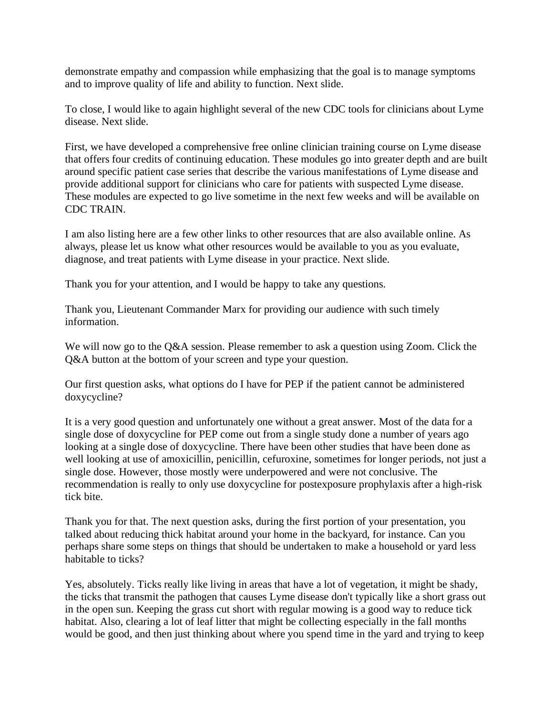demonstrate empathy and compassion while emphasizing that the goal is to manage symptoms and to improve quality of life and ability to function. Next slide.

To close, I would like to again highlight several of the new CDC tools for clinicians about Lyme disease. Next slide.

First, we have developed a comprehensive free online clinician training course on Lyme disease that offers four credits of continuing education. These modules go into greater depth and are built around specific patient case series that describe the various manifestations of Lyme disease and provide additional support for clinicians who care for patients with suspected Lyme disease. These modules are expected to go live sometime in the next few weeks and will be available on CDC TRAIN.

I am also listing here are a few other links to other resources that are also available online. As always, please let us know what other resources would be available to you as you evaluate, diagnose, and treat patients with Lyme disease in your practice. Next slide.

Thank you for your attention, and I would be happy to take any questions.

Thank you, Lieutenant Commander Marx for providing our audience with such timely information.

We will now go to the Q&A session. Please remember to ask a question using Zoom. Click the Q&A button at the bottom of your screen and type your question.

Our first question asks, what options do I have for PEP if the patient cannot be administered doxycycline?

It is a very good question and unfortunately one without a great answer. Most of the data for a single dose of doxycycline for PEP come out from a single study done a number of years ago looking at a single dose of doxycycline. There have been other studies that have been done as well looking at use of amoxicillin, penicillin, cefuroxine, sometimes for longer periods, not just a single dose. However, those mostly were underpowered and were not conclusive. The recommendation is really to only use doxycycline for postexposure prophylaxis after a high-risk tick bite.

Thank you for that. The next question asks, during the first portion of your presentation, you talked about reducing thick habitat around your home in the backyard, for instance. Can you perhaps share some steps on things that should be undertaken to make a household or yard less habitable to ticks?

Yes, absolutely. Ticks really like living in areas that have a lot of vegetation, it might be shady, the ticks that transmit the pathogen that causes Lyme disease don't typically like a short grass out in the open sun. Keeping the grass cut short with regular mowing is a good way to reduce tick habitat. Also, clearing a lot of leaf litter that might be collecting especially in the fall months would be good, and then just thinking about where you spend time in the yard and trying to keep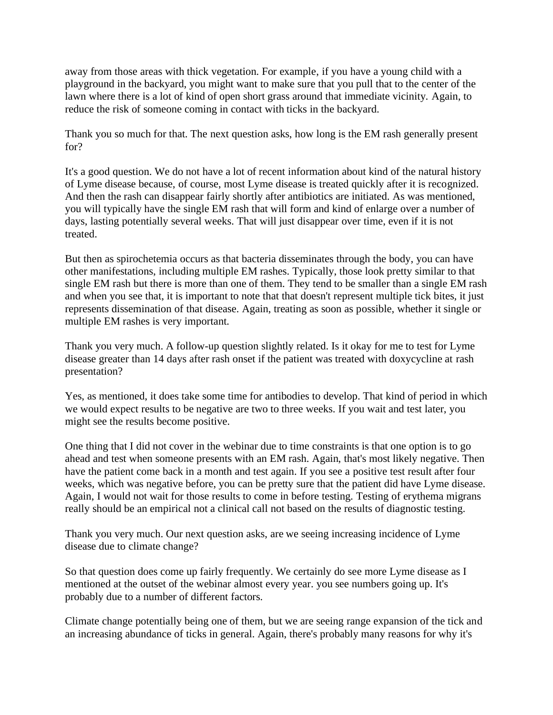away from those areas with thick vegetation. For example, if you have a young child with a playground in the backyard, you might want to make sure that you pull that to the center of the lawn where there is a lot of kind of open short grass around that immediate vicinity. Again, to reduce the risk of someone coming in contact with ticks in the backyard.

Thank you so much for that. The next question asks, how long is the EM rash generally present for?

It's a good question. We do not have a lot of recent information about kind of the natural history of Lyme disease because, of course, most Lyme disease is treated quickly after it is recognized. And then the rash can disappear fairly shortly after antibiotics are initiated. As was mentioned, you will typically have the single EM rash that will form and kind of enlarge over a number of days, lasting potentially several weeks. That will just disappear over time, even if it is not treated.

But then as spirochetemia occurs as that bacteria disseminates through the body, you can have other manifestations, including multiple EM rashes. Typically, those look pretty similar to that single EM rash but there is more than one of them. They tend to be smaller than a single EM rash and when you see that, it is important to note that that doesn't represent multiple tick bites, it just represents dissemination of that disease. Again, treating as soon as possible, whether it single or multiple EM rashes is very important.

Thank you very much. A follow-up question slightly related. Is it okay for me to test for Lyme disease greater than 14 days after rash onset if the patient was treated with doxycycline at rash presentation?

Yes, as mentioned, it does take some time for antibodies to develop. That kind of period in which we would expect results to be negative are two to three weeks. If you wait and test later, you might see the results become positive.

One thing that I did not cover in the webinar due to time constraints is that one option is to go ahead and test when someone presents with an EM rash. Again, that's most likely negative. Then have the patient come back in a month and test again. If you see a positive test result after four weeks, which was negative before, you can be pretty sure that the patient did have Lyme disease. Again, I would not wait for those results to come in before testing. Testing of erythema migrans really should be an empirical not a clinical call not based on the results of diagnostic testing.

Thank you very much. Our next question asks, are we seeing increasing incidence of Lyme disease due to climate change?

So that question does come up fairly frequently. We certainly do see more Lyme disease as I mentioned at the outset of the webinar almost every year. you see numbers going up. It's probably due to a number of different factors.

Climate change potentially being one of them, but we are seeing range expansion of the tick and an increasing abundance of ticks in general. Again, there's probably many reasons for why it's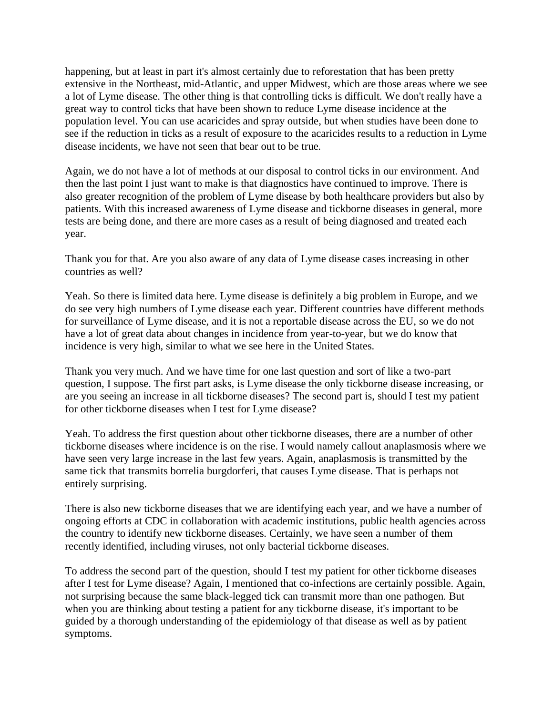happening, but at least in part it's almost certainly due to reforestation that has been pretty extensive in the Northeast, mid-Atlantic, and upper Midwest, which are those areas where we see a lot of Lyme disease. The other thing is that controlling ticks is difficult. We don't really have a great way to control ticks that have been shown to reduce Lyme disease incidence at the population level. You can use acaricides and spray outside, but when studies have been done to see if the reduction in ticks as a result of exposure to the acaricides results to a reduction in Lyme disease incidents, we have not seen that bear out to be true.

Again, we do not have a lot of methods at our disposal to control ticks in our environment. And then the last point I just want to make is that diagnostics have continued to improve. There is also greater recognition of the problem of Lyme disease by both healthcare providers but also by patients. With this increased awareness of Lyme disease and tickborne diseases in general, more tests are being done, and there are more cases as a result of being diagnosed and treated each year.

Thank you for that. Are you also aware of any data of Lyme disease cases increasing in other countries as well?

Yeah. So there is limited data here. Lyme disease is definitely a big problem in Europe, and we do see very high numbers of Lyme disease each year. Different countries have different methods for surveillance of Lyme disease, and it is not a reportable disease across the EU, so we do not have a lot of great data about changes in incidence from year-to-year, but we do know that incidence is very high, similar to what we see here in the United States.

Thank you very much. And we have time for one last question and sort of like a two-part question, I suppose. The first part asks, is Lyme disease the only tickborne disease increasing, or are you seeing an increase in all tickborne diseases? The second part is, should I test my patient for other tickborne diseases when I test for Lyme disease?

Yeah. To address the first question about other tickborne diseases, there are a number of other tickborne diseases where incidence is on the rise. I would namely callout anaplasmosis where we have seen very large increase in the last few years. Again, anaplasmosis is transmitted by the same tick that transmits borrelia burgdorferi, that causes Lyme disease. That is perhaps not entirely surprising.

There is also new tickborne diseases that we are identifying each year, and we have a number of ongoing efforts at CDC in collaboration with academic institutions, public health agencies across the country to identify new tickborne diseases. Certainly, we have seen a number of them recently identified, including viruses, not only bacterial tickborne diseases.

To address the second part of the question, should I test my patient for other tickborne diseases after I test for Lyme disease? Again, I mentioned that co-infections are certainly possible. Again, not surprising because the same black-legged tick can transmit more than one pathogen. But when you are thinking about testing a patient for any tickborne disease, it's important to be guided by a thorough understanding of the epidemiology of that disease as well as by patient symptoms.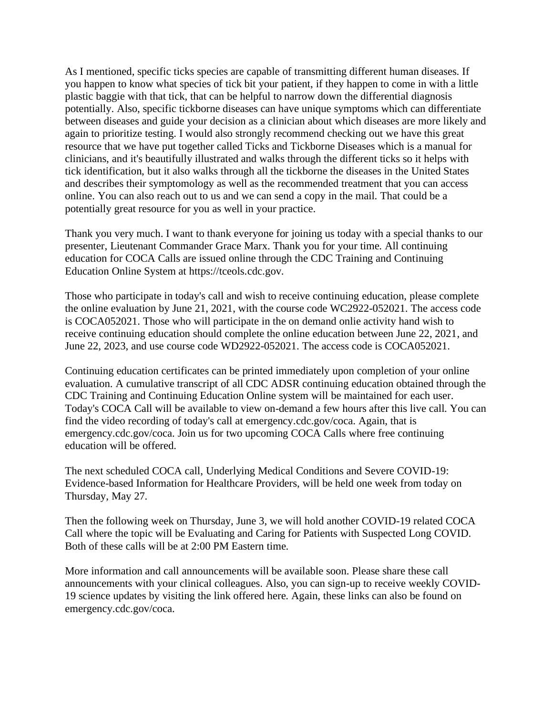As I mentioned, specific ticks species are capable of transmitting different human diseases. If you happen to know what species of tick bit your patient, if they happen to come in with a little plastic baggie with that tick, that can be helpful to narrow down the differential diagnosis potentially. Also, specific tickborne diseases can have unique symptoms which can differentiate between diseases and guide your decision as a clinician about which diseases are more likely and again to prioritize testing. I would also strongly recommend checking out we have this great resource that we have put together called Ticks and Tickborne Diseases which is a manual for clinicians, and it's beautifully illustrated and walks through the different ticks so it helps with tick identification, but it also walks through all the tickborne the diseases in the United States and describes their symptomology as well as the recommended treatment that you can access online. You can also reach out to us and we can send a copy in the mail. That could be a potentially great resource for you as well in your practice.

Thank you very much. I want to thank everyone for joining us today with a special thanks to our presenter, Lieutenant Commander Grace Marx. Thank you for your time. All continuing education for COCA Calls are issued online through the CDC Training and Continuing Education Online System at https://tceols.cdc.gov.

Those who participate in today's call and wish to receive continuing education, please complete the online evaluation by June 21, 2021, with the course code WC2922-052021. The access code is COCA052021. Those who will participate in the on demand onlie activity hand wish to receive continuing education should complete the online education between June 22, 2021, and June 22, 2023, and use course code WD2922-052021. The access code is COCA052021.

Continuing education certificates can be printed immediately upon completion of your online evaluation. A cumulative transcript of all CDC ADSR continuing education obtained through the CDC Training and Continuing Education Online system will be maintained for each user. Today's COCA Call will be available to view on-demand a few hours after this live call. You can find the video recording of today's call at emergency.cdc.gov/coca. Again, that is emergency.cdc.gov/coca. Join us for two upcoming COCA Calls where free continuing education will be offered.

The next scheduled COCA call, Underlying Medical Conditions and Severe COVID-19: Evidence-based Information for Healthcare Providers, will be held one week from today on Thursday, May 27.

Then the following week on Thursday, June 3, we will hold another COVID-19 related COCA Call where the topic will be Evaluating and Caring for Patients with Suspected Long COVID. Both of these calls will be at 2:00 PM Eastern time.

More information and call announcements will be available soon. Please share these call announcements with your clinical colleagues. Also, you can sign-up to receive weekly COVID-19 science updates by visiting the link offered here. Again, these links can also be found on emergency.cdc.gov/coca.